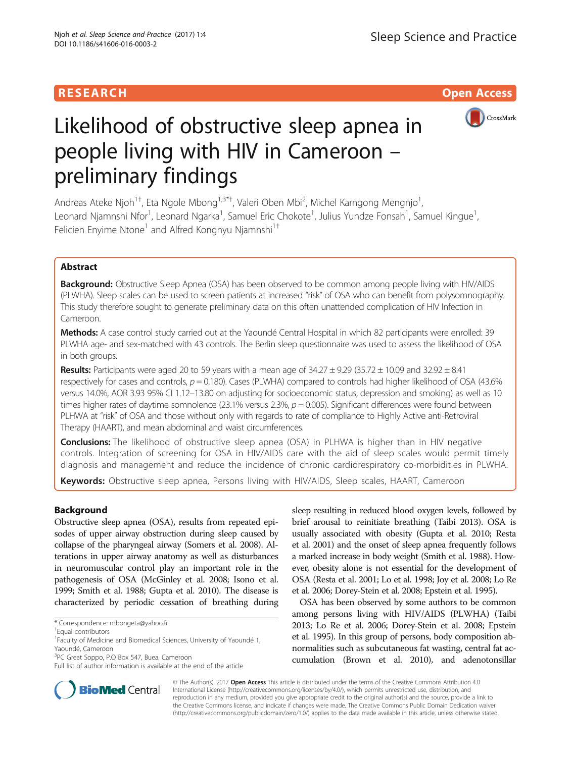# **RESEARCH CHILD CONTROL** CONTROL CONTROL CONTROL CONTROL CONTROL CONTROL CONTROL CONTROL CONTROL CONTROL CONTROL



# Likelihood of obstructive sleep apnea in people living with HIV in Cameroon – preliminary findings

Andreas Ateke Njoh<sup>1†</sup>, Eta Ngole Mbong<sup>1,3\*†</sup>, Valeri Oben Mbi<sup>2</sup>, Michel Karngong Mengnjo<sup>1</sup> , Leonard Njamnshi Nfor<sup>1</sup>, Leonard Ngarka<sup>1</sup>, Samuel Eric Chokote<sup>1</sup>, Julius Yundze Fonsah<sup>1</sup>, Samuel Kingue<sup>1</sup> , Felicien Enyime Ntone<sup>1</sup> and Alfred Kongnyu Njamnshi<sup>1†</sup>

# Abstract

**Background:** Obstructive Sleep Apnea (OSA) has been observed to be common among people living with HIV/AIDS (PLWHA). Sleep scales can be used to screen patients at increased "risk" of OSA who can benefit from polysomnography. This study therefore sought to generate preliminary data on this often unattended complication of HIV Infection in Cameroon.

Methods: A case control study carried out at the Yaoundé Central Hospital in which 82 participants were enrolled: 39 PLWHA age- and sex-matched with 43 controls. The Berlin sleep questionnaire was used to assess the likelihood of OSA in both groups.

**Results:** Participants were aged 20 to 59 years with a mean age of  $34.27 \pm 9.29$  ( $35.72 \pm 10.09$  and  $32.92 \pm 8.41$ respectively for cases and controls,  $p = 0.180$ ). Cases (PLWHA) compared to controls had higher likelihood of OSA (43.6% versus 14.0%, AOR 3.93 95% CI 1.12–13.80 on adjusting for socioeconomic status, depression and smoking) as well as 10 times higher rates of daytime somnolence  $(23.1\%$  versus  $2.3\%$ ,  $p = 0.005$ ). Significant differences were found between PLHWA at "risk" of OSA and those without only with regards to rate of compliance to Highly Active anti-Retroviral Therapy (HAART), and mean abdominal and waist circumferences.

**Conclusions:** The likelihood of obstructive sleep apnea (OSA) in PLHWA is higher than in HIV negative controls. Integration of screening for OSA in HIV/AIDS care with the aid of sleep scales would permit timely diagnosis and management and reduce the incidence of chronic cardiorespiratory co-morbidities in PLWHA.

**Keywords:** Obstructive sleep apnea, Persons living with HIV/AIDS, Sleep scales, HAART, Cameroon

# Background

Obstructive sleep apnea (OSA), results from repeated episodes of upper airway obstruction during sleep caused by collapse of the pharyngeal airway (Somers et al. [2008](#page-8-0)). Alterations in upper airway anatomy as well as disturbances in neuromuscular control play an important role in the pathogenesis of OSA (McGinley et al. [2008](#page-8-0); Isono et al. [1999;](#page-8-0) Smith et al. [1988](#page-8-0); Gupta et al. [2010\)](#page-8-0). The disease is characterized by periodic cessation of breathing during

<sup>3</sup>PC Great Soppo, P.O Box 547, Buea, Cameroon

sleep resulting in reduced blood oxygen levels, followed by brief arousal to reinitiate breathing (Taibi [2013\)](#page-8-0). OSA is usually associated with obesity (Gupta et al. [2010;](#page-8-0) Resta et al. [2001\)](#page-8-0) and the onset of sleep apnea frequently follows a marked increase in body weight (Smith et al. [1988](#page-8-0)). However, obesity alone is not essential for the development of OSA (Resta et al. [2001](#page-8-0); Lo et al. [1998](#page-8-0); Joy et al. [2008;](#page-8-0) Lo Re et al. [2006;](#page-8-0) Dorey-Stein et al. [2008](#page-8-0); Epstein et al. [1995](#page-8-0)).

OSA has been observed by some authors to be common among persons living with HIV/AIDS (PLWHA) (Taibi [2013;](#page-8-0) Lo Re et al. [2006;](#page-8-0) Dorey-Stein et al. [2008](#page-8-0); Epstein et al. [1995](#page-8-0)). In this group of persons, body composition abnormalities such as subcutaneous fat wasting, central fat accumulation (Brown et al. [2010\)](#page-8-0), and adenotonsillar



© The Author(s). 2017 **Open Access** This article is distributed under the terms of the Creative Commons Attribution 4.0 International License [\(http://creativecommons.org/licenses/by/4.0/](http://creativecommons.org/licenses/by/4.0/)), which permits unrestricted use, distribution, and reproduction in any medium, provided you give appropriate credit to the original author(s) and the source, provide a link to the Creative Commons license, and indicate if changes were made. The Creative Commons Public Domain Dedication waiver [\(http://creativecommons.org/publicdomain/zero/1.0/](http://creativecommons.org/publicdomain/zero/1.0/)) applies to the data made available in this article, unless otherwise stated.

<sup>\*</sup> Correspondence: [mbongeta@yahoo.fr](mailto:mbongeta@yahoo.fr) †

Equal contributors

<sup>&</sup>lt;sup>1</sup> Faculty of Medicine and Biomedical Sciences, University of Yaoundé 1, Yaoundé, Cameroon

Full list of author information is available at the end of the article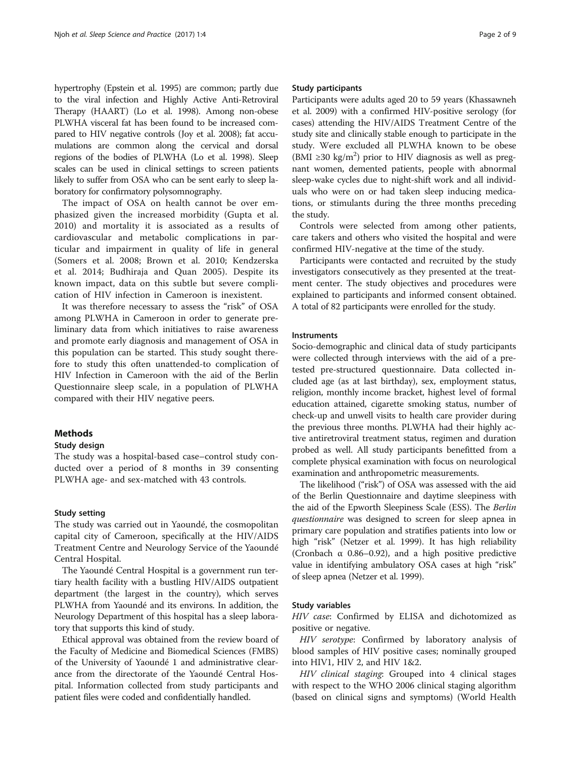hypertrophy (Epstein et al. [1995](#page-8-0)) are common; partly due to the viral infection and Highly Active Anti-Retroviral Therapy (HAART) (Lo et al. [1998](#page-8-0)). Among non-obese PLWHA visceral fat has been found to be increased compared to HIV negative controls (Joy et al. [2008](#page-8-0)); fat accumulations are common along the cervical and dorsal regions of the bodies of PLWHA (Lo et al. [1998](#page-8-0)). Sleep scales can be used in clinical settings to screen patients likely to suffer from OSA who can be sent early to sleep laboratory for confirmatory polysomnography.

The impact of OSA on health cannot be over emphasized given the increased morbidity (Gupta et al. [2010\)](#page-8-0) and mortality it is associated as a results of cardiovascular and metabolic complications in particular and impairment in quality of life in general (Somers et al. [2008;](#page-8-0) Brown et al. [2010;](#page-8-0) Kendzerska et al. [2014](#page-8-0); Budhiraja and Quan [2005\)](#page-8-0). Despite its known impact, data on this subtle but severe complication of HIV infection in Cameroon is inexistent.

It was therefore necessary to assess the "risk" of OSA among PLWHA in Cameroon in order to generate preliminary data from which initiatives to raise awareness and promote early diagnosis and management of OSA in this population can be started. This study sought therefore to study this often unattended-to complication of HIV Infection in Cameroon with the aid of the Berlin Questionnaire sleep scale, in a population of PLWHA compared with their HIV negative peers.

# Methods

#### Study design

The study was a hospital-based case–control study conducted over a period of 8 months in 39 consenting PLWHA age- and sex-matched with 43 controls.

# Study setting

The study was carried out in Yaoundé, the cosmopolitan capital city of Cameroon, specifically at the HIV/AIDS Treatment Centre and Neurology Service of the Yaoundé Central Hospital.

The Yaoundé Central Hospital is a government run tertiary health facility with a bustling HIV/AIDS outpatient department (the largest in the country), which serves PLWHA from Yaoundé and its environs. In addition, the Neurology Department of this hospital has a sleep laboratory that supports this kind of study.

Ethical approval was obtained from the review board of the Faculty of Medicine and Biomedical Sciences (FMBS) of the University of Yaoundé 1 and administrative clearance from the directorate of the Yaoundé Central Hospital. Information collected from study participants and patient files were coded and confidentially handled.

#### Study participants

Participants were adults aged 20 to 59 years (Khassawneh et al. [2009\)](#page-8-0) with a confirmed HIV-positive serology (for cases) attending the HIV/AIDS Treatment Centre of the study site and clinically stable enough to participate in the study. Were excluded all PLWHA known to be obese (BMI ≥30 kg/m<sup>2</sup>) prior to HIV diagnosis as well as pregnant women, demented patients, people with abnormal sleep-wake cycles due to night-shift work and all individuals who were on or had taken sleep inducing medications, or stimulants during the three months preceding the study.

Controls were selected from among other patients, care takers and others who visited the hospital and were confirmed HIV-negative at the time of the study.

Participants were contacted and recruited by the study investigators consecutively as they presented at the treatment center. The study objectives and procedures were explained to participants and informed consent obtained. A total of 82 participants were enrolled for the study.

#### Instruments

Socio-demographic and clinical data of study participants were collected through interviews with the aid of a pretested pre-structured questionnaire. Data collected included age (as at last birthday), sex, employment status, religion, monthly income bracket, highest level of formal education attained, cigarette smoking status, number of check-up and unwell visits to health care provider during the previous three months. PLWHA had their highly active antiretroviral treatment status, regimen and duration probed as well. All study participants benefitted from a complete physical examination with focus on neurological examination and anthropometric measurements.

The likelihood ("risk") of OSA was assessed with the aid of the Berlin Questionnaire and daytime sleepiness with the aid of the Epworth Sleepiness Scale (ESS). The Berlin questionnaire was designed to screen for sleep apnea in primary care population and stratifies patients into low or high "risk" (Netzer et al. [1999](#page-8-0)). It has high reliability (Cronbach α 0.86–0.92), and a high positive predictive value in identifying ambulatory OSA cases at high "risk" of sleep apnea (Netzer et al. [1999](#page-8-0)).

# Study variables

HIV case: Confirmed by ELISA and dichotomized as positive or negative.

HIV serotype: Confirmed by laboratory analysis of blood samples of HIV positive cases; nominally grouped into HIV1, HIV 2, and HIV 1&2.

HIV clinical staging: Grouped into 4 clinical stages with respect to the WHO 2006 clinical staging algorithm (based on clinical signs and symptoms) (World Health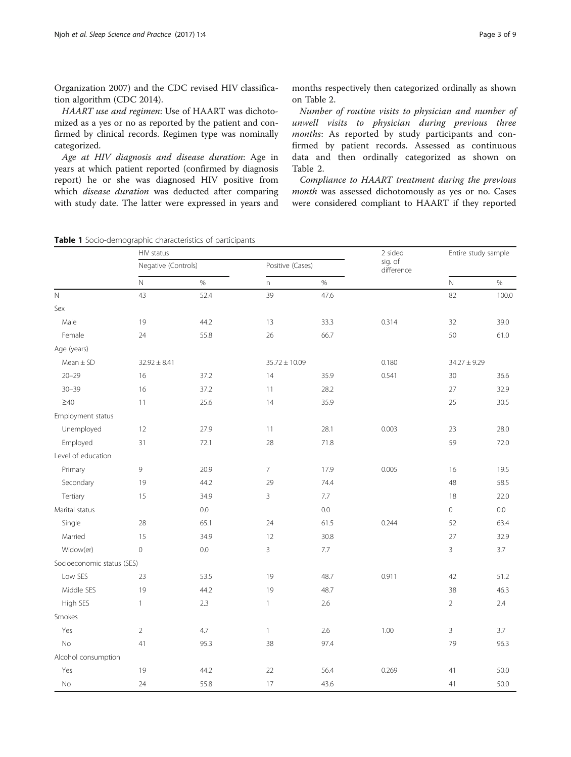<span id="page-2-0"></span>Organization [2007](#page-8-0)) and the CDC revised HIV classification algorithm (CDC [2014\)](#page-8-0).

HAART use and regimen: Use of HAART was dichotomized as a yes or no as reported by the patient and confirmed by clinical records. Regimen type was nominally categorized.

Age at HIV diagnosis and disease duration: Age in years at which patient reported (confirmed by diagnosis report) he or she was diagnosed HIV positive from which disease duration was deducted after comparing with study date. The latter were expressed in years and

months respectively then categorized ordinally as shown on Table [2](#page-3-0).

Number of routine visits to physician and number of unwell visits to physician during previous three months: As reported by study participants and confirmed by patient records. Assessed as continuous data and then ordinally categorized as shown on Table [2](#page-3-0).

Compliance to HAART treatment during the previous month was assessed dichotomously as yes or no. Cases were considered compliant to HAART if they reported

# Table 1 Socio-demographic characteristics of participants

|                            | HIV status          |         | 2 sided<br>sig. of<br>difference | Entire study sample |       |                  |         |
|----------------------------|---------------------|---------|----------------------------------|---------------------|-------|------------------|---------|
|                            | Negative (Controls) |         |                                  |                     |       | Positive (Cases) |         |
|                            | $\bar{\rm N}$       | $\%$    | n                                | $\%$                |       | $\mathsf{N}$     | $\%$    |
| $\mathbb{N}$               | 43                  | 52.4    | 39                               | 47.6                |       | 82               | 100.0   |
| Sex                        |                     |         |                                  |                     |       |                  |         |
| Male                       | 19                  | 44.2    | 13                               | 33.3                | 0.314 | 32               | 39.0    |
| Female                     | 24                  | 55.8    | 26                               | 66.7                |       | 50               | 61.0    |
| Age (years)                |                     |         |                                  |                     |       |                  |         |
| $Mean \pm SD$              | $32.92 \pm 8.41$    |         | $35.72 \pm 10.09$                |                     | 0.180 | $34.27 \pm 9.29$ |         |
| $20 - 29$                  | 16                  | 37.2    | 14                               | 35.9                | 0.541 | 30               | 36.6    |
| $30 - 39$                  | 16                  | 37.2    | 11                               | 28.2                |       | 27               | 32.9    |
| $\geq 40$                  | 11                  | 25.6    | 14                               | 35.9                |       | 25               | 30.5    |
| Employment status          |                     |         |                                  |                     |       |                  |         |
| Unemployed                 | 12                  | 27.9    | 11                               | 28.1                | 0.003 | 23               | 28.0    |
| Employed                   | 31                  | 72.1    | 28                               | 71.8                |       | 59               | 72.0    |
| Level of education         |                     |         |                                  |                     |       |                  |         |
| Primary                    | 9                   | 20.9    | $\overline{7}$                   | 17.9                | 0.005 | 16               | 19.5    |
| Secondary                  | 19                  | 44.2    | 29                               | 74.4                |       | 48               | 58.5    |
| Tertiary                   | 15                  | 34.9    | 3                                | 7.7                 |       | 18               | 22.0    |
| Marital status             |                     | $0.0\,$ |                                  | 0.0                 |       | $\mathbf 0$      | $0.0\,$ |
| Single                     | 28                  | 65.1    | 24                               | 61.5                | 0.244 | 52               | 63.4    |
| Married                    | 15                  | 34.9    | 12                               | 30.8                |       | 27               | 32.9    |
| Widow(er)                  | $\mathbf 0$         | 0.0     | 3                                | 7.7                 |       | $\overline{3}$   | 3.7     |
| Socioeconomic status (SES) |                     |         |                                  |                     |       |                  |         |
| Low SES                    | 23                  | 53.5    | 19                               | 48.7                | 0.911 | 42               | 51.2    |
| Middle SES                 | 19                  | 44.2    | 19                               | 48.7                |       | 38               | 46.3    |
| High SES                   | $\mathbf{1}$        | 2.3     | $\mathbf{1}$                     | 2.6                 |       | $\sqrt{2}$       | 2.4     |
| Smokes                     |                     |         |                                  |                     |       |                  |         |
| Yes                        | $\overline{2}$      | 4.7     | $\mathbf{1}$                     | $2.6\,$             | 1.00  | $\mathsf 3$      | 3.7     |
| No                         | 41                  | 95.3    | 38                               | 97.4                |       | 79               | 96.3    |
| Alcohol consumption        |                     |         |                                  |                     |       |                  |         |
| Yes                        | 19                  | 44.2    | 22                               | 56.4                | 0.269 | 41               | 50.0    |
| $\mathsf{No}$              | 24                  | 55.8    | 17                               | 43.6                |       | 41               | 50.0    |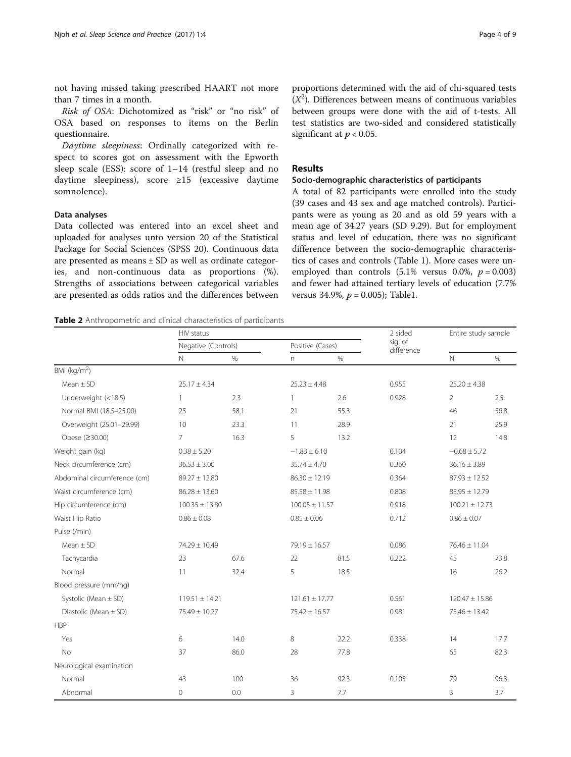<span id="page-3-0"></span>not having missed taking prescribed HAART not more than 7 times in a month.

Risk of OSA: Dichotomized as "risk" or "no risk" of OSA based on responses to items on the Berlin questionnaire.

Daytime sleepiness: Ordinally categorized with respect to scores got on assessment with the Epworth sleep scale (ESS): score of 1–14 (restful sleep and no daytime sleepiness), score ≥15 (excessive daytime somnolence).

# Data analyses

Data collected was entered into an excel sheet and uploaded for analyses unto version 20 of the Statistical Package for Social Sciences (SPSS 20). Continuous data are presented as means ± SD as well as ordinate categories, and non-continuous data as proportions (%). Strengths of associations between categorical variables are presented as odds ratios and the differences between

proportions determined with the aid of chi-squared tests  $(X^2)$ . Differences between means of continuous variables between groups were done with the aid of t-tests. All test statistics are two-sided and considered statistically significant at  $p < 0.05$ .

# Results

## Socio-demographic characteristics of participants

A total of 82 participants were enrolled into the study (39 cases and 43 sex and age matched controls). Participants were as young as 20 and as old 59 years with a mean age of 34.27 years (SD 9.29). But for employment status and level of education, there was no significant difference between the socio-demographic characteristics of cases and controls (Table [1](#page-2-0)). More cases were unemployed than controls  $(5.1\% \text{ versus } 0.0\%, p = 0.003)$ and fewer had attained tertiary levels of education (7.7% versus 34.9%,  $p = 0.005$ ); Table1.

Table 2 Anthropometric and clinical characteristics of participants

|                                                | HIV status          |                    |                    |                  | 2 sided               | Entire study sample |      |
|------------------------------------------------|---------------------|--------------------|--------------------|------------------|-----------------------|---------------------|------|
|                                                | Negative (Controls) |                    | Positive (Cases)   |                  | sig. of<br>difference |                     |      |
|                                                | $\mathbb N$         | $\%$               | n                  | %                |                       | $\mathbb N$         | %    |
| BMI (kg/m <sup>2</sup> )                       |                     |                    |                    |                  |                       |                     |      |
| Mean $\pm$ SD                                  | $25.17 \pm 4.34$    |                    | $25.23 \pm 4.48$   |                  | 0.955                 | $25.20 \pm 4.38$    |      |
| Underweight (<18.5)                            | $\mathbf{1}$        | 2.3                | 1                  | 2.6              | 0.928                 | $\overline{2}$      | 2.5  |
| Normal BMI (18.5-25.00)                        | 25                  | 58.1               | 21                 | 55.3             |                       | 46                  | 56.8 |
| Overweight (25.01-29.99)                       | 10                  | 23.3               | 11                 | 28.9             |                       | 21                  | 25.9 |
| Obese (≥30.00)                                 | $\overline{7}$      | 16.3               | 5                  | 13.2             |                       | 12                  | 14.8 |
| Weight gain (kg)                               | $0.38 \pm 5.20$     |                    | $-1.83 \pm 6.10$   |                  | 0.104                 | $-0.68 \pm 5.72$    |      |
| Neck circumference (cm)                        |                     | $36.53 \pm 3.00$   |                    | $35.74 \pm 4.70$ | 0.360                 | $36.16 \pm 3.89$    |      |
| Abdominal circumference (cm)                   | $89.27 \pm 12.80$   |                    | $86.30 \pm 12.19$  |                  | 0.364                 | $87.93 \pm 12.52$   |      |
| Waist circumference (cm)                       | $86.28 \pm 13.60$   |                    | $85.58 \pm 11.98$  |                  | 0.808                 | $85.95 \pm 12.79$   |      |
| Hip circumference (cm)                         | $100.35 \pm 13.80$  |                    | $100.05 \pm 11.57$ |                  | 0.918                 | $100.21 \pm 12.73$  |      |
| Waist Hip Ratio                                | $0.86 \pm 0.08$     |                    | $0.85 \pm 0.06$    |                  | 0.712                 | $0.86 \pm 0.07$     |      |
| Pulse (/min)                                   |                     |                    |                    |                  |                       |                     |      |
| Mean $\pm$ SD                                  | 74.29 ± 10.49       |                    | 79.19 ± 16.57      |                  | 0.086                 | $76.46 \pm 11.04$   |      |
| Tachycardia                                    | 23                  | 67.6               | 22                 | 81.5             | 0.222                 | 45                  | 73.8 |
| Normal                                         | 11                  | 32.4               | 5                  | 18.5             |                       | 16                  | 26.2 |
| Blood pressure (mm/hg)                         |                     |                    |                    |                  |                       |                     |      |
| Systolic (Mean $\pm$ SD)<br>$119.51 \pm 14.21$ |                     | $121.61 \pm 17.77$ |                    | 0.561            | $120.47 \pm 15.86$    |                     |      |
| Diastolic (Mean $\pm$ SD)<br>75.49 ± 10.27     |                     |                    | $75.42 \pm 16.57$  |                  | 0.981                 | 75.46 ± 13.42       |      |
| <b>HBP</b>                                     |                     |                    |                    |                  |                       |                     |      |
| Yes                                            | 6                   | 14.0               | 8                  | 22.2             | 0.338                 | 14                  | 17.7 |
| No                                             | 37                  | 86.0               | 28                 | 77.8             |                       | 65                  | 82.3 |
| Neurological examination                       |                     |                    |                    |                  |                       |                     |      |
| Normal                                         | 43                  | 100                | 36                 | 92.3             | 0.103                 | 79                  | 96.3 |
| Abnormal                                       | 0                   | 0.0                | 3                  | 7.7              |                       | 3                   | 3.7  |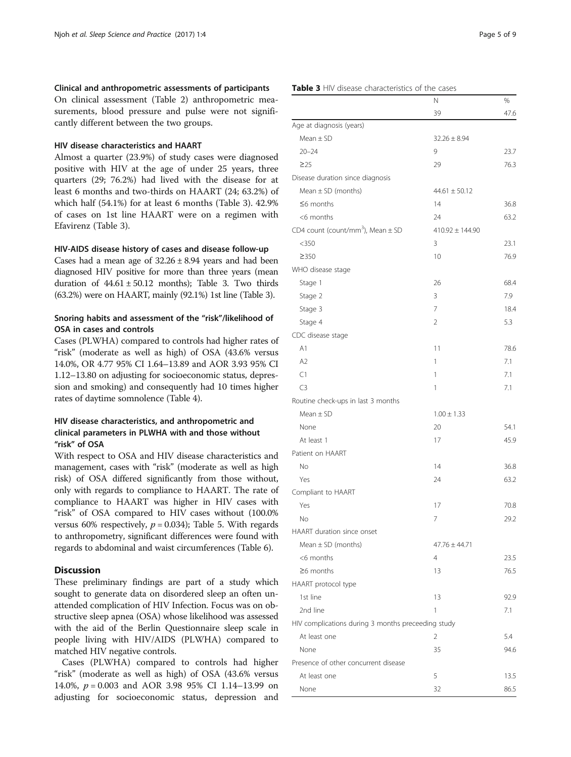# Clinical and anthropometric assessments of participants

On clinical assessment (Table [2](#page-3-0)) anthropometric measurements, blood pressure and pulse were not significantly different between the two groups.

# HIV disease characteristics and HAART

Almost a quarter (23.9%) of study cases were diagnosed positive with HIV at the age of under 25 years, three quarters (29; 76.2%) had lived with the disease for at least 6 months and two-thirds on HAART (24; 63.2%) of which half (54.1%) for at least 6 months (Table 3). 42.9% of cases on 1st line HAART were on a regimen with Efavirenz (Table 3).

# HIV-AIDS disease history of cases and disease follow-up

Cases had a mean age of  $32.26 \pm 8.94$  years and had been diagnosed HIV positive for more than three years (mean duration of  $44.61 \pm 50.12$  months); Table 3. Two thirds (63.2%) were on HAART, mainly (92.1%) 1st line (Table 3).

# Snoring habits and assessment of the "risk"/likelihood of OSA in cases and controls

Cases (PLWHA) compared to controls had higher rates of "risk" (moderate as well as high) of OSA (43.6% versus 14.0%, OR 4.77 95% CI 1.64–13.89 and AOR 3.93 95% CI 1.12–13.80 on adjusting for socioeconomic status, depression and smoking) and consequently had 10 times higher rates of daytime somnolence (Table [4\)](#page-5-0).

# HIV disease characteristics, and anthropometric and clinical parameters in PLWHA with and those without "risk" of OSA

With respect to OSA and HIV disease characteristics and management, cases with "risk" (moderate as well as high risk) of OSA differed significantly from those without, only with regards to compliance to HAART. The rate of compliance to HAART was higher in HIV cases with "risk" of OSA compared to HIV cases without (100.0% versus 60% respectively,  $p = 0.034$ ; Table [5.](#page-6-0) With regards to anthropometry, significant differences were found with regards to abdominal and waist circumferences (Table [6](#page-7-0)).

# **Discussion**

These preliminary findings are part of a study which sought to generate data on disordered sleep an often unattended complication of HIV Infection. Focus was on obstructive sleep apnea (OSA) whose likelihood was assessed with the aid of the Berlin Questionnaire sleep scale in people living with HIV/AIDS (PLWHA) compared to matched HIV negative controls.

Cases (PLWHA) compared to controls had higher "risk" (moderate as well as high) of OSA (43.6% versus 14.0%,  $p = 0.003$  and AOR 3.98 95% CI 1.14–13.99 on adjusting for socioeconomic status, depression and

|                                                    | N                   | %    |
|----------------------------------------------------|---------------------|------|
|                                                    | 39                  | 47.6 |
| Age at diagnosis (years)                           |                     |      |
| $Mean \pm SD$                                      | $32.26 \pm 8.94$    |      |
| $20 - 24$                                          | 9                   | 23.7 |
| $\geq$ 25                                          | 29                  | 76.3 |
| Disease duration since diagnosis                   |                     |      |
| Mean $\pm$ SD (months)                             | $44.61 \pm 50.12$   |      |
| $\leq$ 6 months                                    | 14                  | 36.8 |
| <6 months                                          | 24                  | 63.2 |
| CD4 count (count/mm <sup>3</sup> ), Mean $\pm$ SD  | $410.92 \pm 144.90$ |      |
| $<$ 350                                            | 3                   | 23.1 |
| ≥350                                               | 10                  | 76.9 |
| WHO disease stage                                  |                     |      |
| Stage 1                                            | 26                  | 68.4 |
| Stage 2                                            | 3                   | 7.9  |
| Stage 3                                            | 7                   | 18.4 |
| Stage 4                                            | 2                   | 5.3  |
| CDC disease stage                                  |                     |      |
| A1                                                 | 11                  | 78.6 |
| A2                                                 | 1                   | 7.1  |
| C1                                                 | 1                   | 7.1  |
| C <sub>3</sub>                                     | 1                   | 7.1  |
| Routine check-ups in last 3 months                 |                     |      |
| Mean $\pm$ SD                                      | $1.00 \pm 1.33$     |      |
| None                                               | 20                  | 54.1 |
| At least 1                                         | 17                  | 45.9 |
| Patient on HAART                                   |                     |      |
| No                                                 | 14                  | 36.8 |
| Yes                                                | 24                  | 63.2 |
| Compliant to HAART                                 |                     |      |
| Yes                                                | 17                  | 70.8 |
| No                                                 | 7                   | 29.2 |
| HAART duration since onset                         |                     |      |
| Mean $\pm$ SD (months)                             | $47.76 \pm 44.71$   |      |
| <6 months                                          | $\overline{4}$      | 23.5 |
| $\geq$ 6 months                                    | 13                  | 76.5 |
| HAART protocol type                                |                     |      |
| 1st line                                           | 13                  | 92.9 |
| 2nd line                                           | 1                   | 7.1  |
| HIV complications during 3 months preceeding study |                     |      |
| At least one                                       | 2                   | 5.4  |
| None                                               | 35                  | 94.6 |
| Presence of other concurrent disease               |                     |      |
| At least one                                       | 5                   | 13.5 |
| None                                               | 32                  | 86.5 |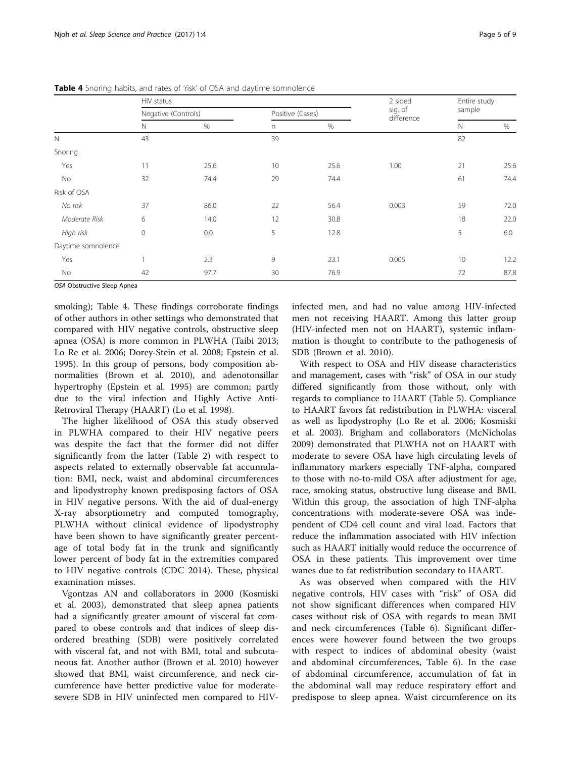|                    | HIV status          |      |                  |      | 2 sided               | Entire study |      |
|--------------------|---------------------|------|------------------|------|-----------------------|--------------|------|
|                    | Negative (Controls) |      | Positive (Cases) |      | sig. of<br>difference | sample       |      |
|                    | $\mathbb N$         | $\%$ | n                | $\%$ |                       | $\mathbb{N}$ | %    |
| N                  | 43                  |      | 39               |      |                       | 82           |      |
| Snoring            |                     |      |                  |      |                       |              |      |
| Yes                | 11                  | 25.6 | 10               | 25.6 | 1.00                  | 21           | 25.6 |
| No                 | 32                  | 74.4 | 29               | 74.4 |                       | 61           | 74.4 |
| Risk of OSA        |                     |      |                  |      |                       |              |      |
| No risk            | 37                  | 86.0 | 22               | 56.4 | 0.003                 | 59           | 72.0 |
| Moderate Risk      | 6                   | 14.0 | 12               | 30.8 |                       | 18           | 22.0 |
| High risk          | $\mathbf 0$         | 0.0  | 5                | 12.8 |                       | 5            | 6.0  |
| Daytime somnolence |                     |      |                  |      |                       |              |      |
| Yes                | 1                   | 2.3  | 9                | 23.1 | 0.005                 | 10           | 12.2 |
| <b>No</b>          | 42                  | 97.7 | 30               | 76.9 |                       | 72           | 87.8 |

<span id="page-5-0"></span>Table 4 Snoring habits, and rates of 'risk' of OSA and daytime somnolence

OSA Obstructive Sleep Apnea

smoking); Table 4. These findings corroborate findings of other authors in other settings who demonstrated that compared with HIV negative controls, obstructive sleep apnea (OSA) is more common in PLWHA (Taibi [2013](#page-8-0); Lo Re et al. [2006;](#page-8-0) Dorey-Stein et al. [2008;](#page-8-0) Epstein et al. [1995](#page-8-0)). In this group of persons, body composition abnormalities (Brown et al. [2010\)](#page-8-0), and adenotonsillar hypertrophy (Epstein et al. [1995](#page-8-0)) are common; partly due to the viral infection and Highly Active Anti-Retroviral Therapy (HAART) (Lo et al. [1998\)](#page-8-0).

The higher likelihood of OSA this study observed in PLWHA compared to their HIV negative peers was despite the fact that the former did not differ significantly from the latter (Table [2\)](#page-3-0) with respect to aspects related to externally observable fat accumulation: BMI, neck, waist and abdominal circumferences and lipodystrophy known predisposing factors of OSA in HIV negative persons. With the aid of dual-energy X-ray absorptiometry and computed tomography, PLWHA without clinical evidence of lipodystrophy have been shown to have significantly greater percentage of total body fat in the trunk and significantly lower percent of body fat in the extremities compared to HIV negative controls (CDC [2014](#page-8-0)). These, physical examination misses.

Vgontzas AN and collaborators in 2000 (Kosmiski et al. [2003](#page-8-0)), demonstrated that sleep apnea patients had a significantly greater amount of visceral fat compared to obese controls and that indices of sleep disordered breathing (SDB) were positively correlated with visceral fat, and not with BMI, total and subcutaneous fat. Another author (Brown et al. [2010\)](#page-8-0) however showed that BMI, waist circumference, and neck circumference have better predictive value for moderatesevere SDB in HIV uninfected men compared to HIV- infected men, and had no value among HIV-infected men not receiving HAART. Among this latter group (HIV-infected men not on HAART), systemic inflammation is thought to contribute to the pathogenesis of SDB (Brown et al. [2010](#page-8-0)).

With respect to OSA and HIV disease characteristics and management, cases with "risk" of OSA in our study differed significantly from those without, only with regards to compliance to HAART (Table [5](#page-6-0)). Compliance to HAART favors fat redistribution in PLWHA: visceral as well as lipodystrophy (Lo Re et al. [2006;](#page-8-0) Kosmiski et al. [2003](#page-8-0)). Brigham and collaborators (McNicholas [2009](#page-8-0)) demonstrated that PLWHA not on HAART with moderate to severe OSA have high circulating levels of inflammatory markers especially TNF-alpha, compared to those with no-to-mild OSA after adjustment for age, race, smoking status, obstructive lung disease and BMI. Within this group, the association of high TNF-alpha concentrations with moderate-severe OSA was independent of CD4 cell count and viral load. Factors that reduce the inflammation associated with HIV infection such as HAART initially would reduce the occurrence of OSA in these patients. This improvement over time wanes due to fat redistribution secondary to HAART.

As was observed when compared with the HIV negative controls, HIV cases with "risk" of OSA did not show significant differences when compared HIV cases without risk of OSA with regards to mean BMI and neck circumferences (Table [6\)](#page-7-0). Significant differences were however found between the two groups with respect to indices of abdominal obesity (waist and abdominal circumferences, Table [6\)](#page-7-0). In the case of abdominal circumference, accumulation of fat in the abdominal wall may reduce respiratory effort and predispose to sleep apnea. Waist circumference on its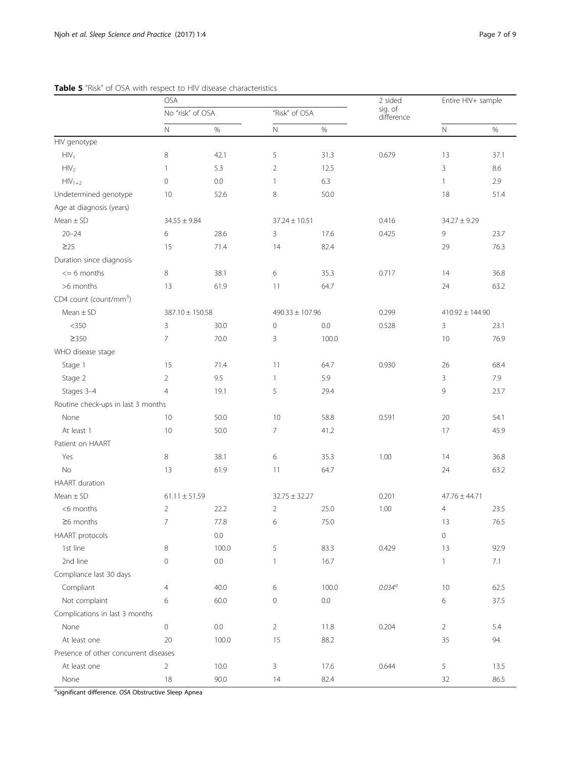|                                       | OSA                 |          |                     | 2 sided | Entire HIV+ sample    |                     |      |
|---------------------------------------|---------------------|----------|---------------------|---------|-----------------------|---------------------|------|
|                                       | No "risk" of OSA    |          | "Risk" of OSA       |         | sig. of<br>difference |                     |      |
|                                       | $\overline{N}$      | $\%$     | $\overline{N}$      | $\%$    |                       | $\hbox{N}$          | $\%$ |
| HIV genotype                          |                     |          |                     |         |                       |                     |      |
| HIV <sub>1</sub>                      | 8                   | 42.1     | 5                   | 31.3    | 0.679                 | 13                  | 37.1 |
| HIV <sub>2</sub>                      | 1                   | 5.3      | $\overline{2}$      | 12.5    |                       | 3                   | 8.6  |
| $HIV_{1+2}$                           | 0                   | $0.0\,$  | $\mathbf{1}$        | 6.3     |                       | $\mathbf{1}$        | 2.9  |
| Undetermined genotype                 | 10                  | 52.6     | 8                   | 50.0    |                       | 18                  | 51.4 |
| Age at diagnosis (years)              |                     |          |                     |         |                       |                     |      |
| $Mean \pm SD$                         | $34.55 \pm 9.84$    |          | $37.24 \pm 10.51$   |         | 0.416                 | $34.27 \pm 9.29$    |      |
| $20 - 24$                             | 6                   | 28.6     | 3                   | 17.6    | 0.425                 | 9                   | 23.7 |
| $\geq$ 25                             | 15                  | 71.4     | 14                  | 82.4    |                       | 29                  | 76.3 |
| Duration since diagnosis              |                     |          |                     |         |                       |                     |      |
| $<= 6$ months                         | 8                   | 38.1     | 6                   | 35.3    | 0.717                 | 14                  | 36.8 |
| >6 months                             | 13                  | 61.9     | 11                  | 64.7    |                       | 24                  | 63.2 |
| CD4 count (count/mm <sup>3</sup> )    |                     |          |                     |         |                       |                     |      |
| Mean $\pm$ SD                         | $387.10 \pm 150.58$ |          | $490.33 \pm 107.96$ |         | 0.299                 | $410.92 \pm 144.90$ |      |
| $<$ 350                               | 3                   | 30.0     | $\mathbf 0$         | 0.0     | 0.528                 | 3                   | 23.1 |
| ≥350                                  | 7                   | 70.0     | 3                   | 100.0   |                       | 10                  | 76.9 |
| WHO disease stage                     |                     |          |                     |         |                       |                     |      |
| Stage 1                               | 15                  | 71.4     | 11                  | 64.7    | 0.930                 | 26                  | 68.4 |
| Stage 2                               | $\overline{2}$      | 9.5      | $\mathbf{1}$        | 5.9     |                       | 3                   | 7.9  |
| Stages 3-4                            | $\overline{4}$      | 19.1     | 5                   | 29.4    |                       | 9                   | 23.7 |
| Routine check-ups in last 3 months    |                     |          |                     |         |                       |                     |      |
| None                                  | 10                  | 50.0     | 10                  | 58.8    | 0.591                 | 20                  | 54.1 |
| At least 1                            | 10                  | 50.0     | $\overline{7}$      | 41.2    |                       | 17                  | 45.9 |
| Patient on HAART                      |                     |          |                     |         |                       |                     |      |
| Yes                                   | 8                   | 38.1     | 6                   | 35.3    | 1.00                  | 14                  | 36.8 |
| No                                    | 13                  | 61.9     | 11                  | 64.7    |                       | 24                  | 63.2 |
| HAART duration                        |                     |          |                     |         |                       |                     |      |
| Mean $\pm$ SD                         | $61.11 \pm 51.59$   |          | $32.75 \pm 32.27$   |         | 0.201                 | $47.76 \pm 44.71$   |      |
| <6 months                             | $\overline{2}$      | 22.2     | $\overline{2}$      | 25.0    | 1.00                  | $\overline{4}$      | 23.5 |
| $\geq$ 6 months                       | 7                   | 77.8     | 6                   | 75.0    |                       | 13                  | 76.5 |
| <b>HAART</b> protocols                |                     | $0.0\,$  |                     |         |                       | $\mathsf{O}\xspace$ |      |
| 1st line                              | 8                   | 100.0    | 5                   | 83.3    | 0.429                 | 13                  | 92.9 |
| 2nd line                              | $\mathsf{O}\xspace$ | $0.0\,$  | $\mathbf{1}$        | 16.7    |                       | $\mathbf{1}$        | 7.1  |
| Compliance last 30 days               |                     |          |                     |         |                       |                     |      |
| Compliant                             | 4                   | 40.0     | 6                   | 100.0   | $0.034^a$             | 10                  | 62.5 |
| Not complaint                         | 6                   | 60.0     | $\mathbf 0$         | $0.0\,$ |                       | 6                   | 37.5 |
| Complications in last 3 months        |                     |          |                     |         |                       |                     |      |
| None                                  | $\mathbf 0$         | $0.0\,$  | $\overline{2}$      | 11.8    | 0.204                 | $\overline{2}$      | 5.4  |
| At least one                          | 20                  | 100.0    | 15                  | 88.2    |                       | 35                  | 94.  |
| Presence of other concurrent diseases |                     |          |                     |         |                       |                     |      |
| At least one                          | $\overline{c}$      | 10.0     | 3                   | 17.6    | 0.644                 | 5                   | 13.5 |
| None                                  | $18\,$              | $90.0\,$ | 14                  | 82.4    |                       | 32                  | 86.5 |

# <span id="page-6-0"></span>Table 5 "Risk" of OSA with respect to HIV disease characteristics

asignificant difference. OSA Obstructive Sleep Apnea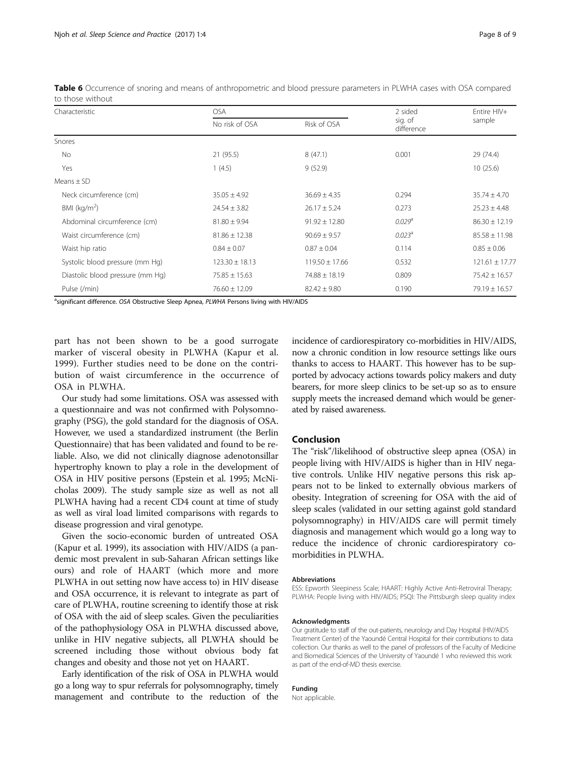| Characteristic                   | <b>OSA</b>         |                    | 2 sided               | Entire HIV+<br>sample |  |
|----------------------------------|--------------------|--------------------|-----------------------|-----------------------|--|
|                                  | No risk of OSA     | Risk of OSA        | sig. of<br>difference |                       |  |
| Snores                           |                    |                    |                       |                       |  |
| No                               | 21(95.5)           | 8(47.1)            | 0.001                 | 29 (74.4)             |  |
| Yes                              | 1(4.5)             | 9(52.9)            |                       | 10(25.6)              |  |
| Means $\pm$ SD                   |                    |                    |                       |                       |  |
| Neck circumference (cm)          | $35.05 \pm 4.92$   | $36.69 \pm 4.35$   | 0.294                 | $35.74 \pm 4.70$      |  |
| BMI ( $kg/m2$ )                  | $24.54 \pm 3.82$   | $26.17 \pm 5.24$   | 0.273                 | $25.23 \pm 4.48$      |  |
| Abdominal circumference (cm)     | $81.80 \pm 9.94$   | $91.92 \pm 12.80$  | 0.029 <sup>a</sup>    | $86.30 \pm 12.19$     |  |
| Waist circumference (cm)         | $81.86 \pm 12.38$  | $90.69 \pm 9.57$   | 0.023 <sup>a</sup>    | $85.58 \pm 11.98$     |  |
| Waist hip ratio                  | $0.84 \pm 0.07$    | $0.87 \pm 0.04$    | 0.114                 | $0.85 \pm 0.06$       |  |
| Systolic blood pressure (mm Hg)  | $123.30 \pm 18.13$ | $119.50 \pm 17.66$ | 0.532                 | $121.61 \pm 17.77$    |  |
| Diastolic blood pressure (mm Hq) | $75.85 \pm 15.63$  | $74.88 \pm 18.19$  | 0.809                 | $75.42 \pm 16.57$     |  |
| Pulse (/min)                     | $76.60 \pm 12.09$  | $82.42 \pm 9.80$   | 0.190                 | $79.19 \pm 16.57$     |  |

<span id="page-7-0"></span>Table 6 Occurrence of snoring and means of anthropometric and blood pressure parameters in PLWHA cases with OSA compared to those without

<sup>a</sup>significant difference. OSA Obstructive Sleep Apnea, PLWHA Persons living with HIV/AIDS

part has not been shown to be a good surrogate marker of visceral obesity in PLWHA (Kapur et al. [1999\)](#page-8-0). Further studies need to be done on the contribution of waist circumference in the occurrence of OSA in PLWHA.

Our study had some limitations. OSA was assessed with a questionnaire and was not confirmed with Polysomnography (PSG), the gold standard for the diagnosis of OSA. However, we used a standardized instrument (the Berlin Questionnaire) that has been validated and found to be reliable. Also, we did not clinically diagnose adenotonsillar hypertrophy known to play a role in the development of OSA in HIV positive persons (Epstein et al. [1995](#page-8-0); McNicholas [2009](#page-8-0)). The study sample size as well as not all PLWHA having had a recent CD4 count at time of study as well as viral load limited comparisons with regards to disease progression and viral genotype.

Given the socio-economic burden of untreated OSA (Kapur et al. [1999\)](#page-8-0), its association with HIV/AIDS (a pandemic most prevalent in sub-Saharan African settings like ours) and role of HAART (which more and more PLWHA in out setting now have access to) in HIV disease and OSA occurrence, it is relevant to integrate as part of care of PLWHA, routine screening to identify those at risk of OSA with the aid of sleep scales. Given the peculiarities of the pathophysiology OSA in PLWHA discussed above, unlike in HIV negative subjects, all PLWHA should be screened including those without obvious body fat changes and obesity and those not yet on HAART.

Early identification of the risk of OSA in PLWHA would go a long way to spur referrals for polysomnography, timely management and contribute to the reduction of the incidence of cardiorespiratory co-morbidities in HIV/AIDS, now a chronic condition in low resource settings like ours thanks to access to HAART. This however has to be supported by advocacy actions towards policy makers and duty bearers, for more sleep clinics to be set-up so as to ensure supply meets the increased demand which would be generated by raised awareness.

# Conclusion

The "risk"/likelihood of obstructive sleep apnea (OSA) in people living with HIV/AIDS is higher than in HIV negative controls. Unlike HIV negative persons this risk appears not to be linked to externally obvious markers of obesity. Integration of screening for OSA with the aid of sleep scales (validated in our setting against gold standard polysomnography) in HIV/AIDS care will permit timely diagnosis and management which would go a long way to reduce the incidence of chronic cardiorespiratory comorbidities in PLWHA.

#### Abbreviations

ESS: Epworth Sleepiness Scale; HAART: Highly Active Anti-Retroviral Therapy; PLWHA: People living with HIV/AIDS; PSQI: The Pittsburgh sleep quality index

#### Acknowledgments

Our gratitude to staff of the out-patients, neurology and Day Hospital (HIV/AIDS Treatment Center) of the Yaoundé Central Hospital for their contributions to data collection. Our thanks as well to the panel of professors of the Faculty of Medicine and Biomedical Sciences of the University of Yaoundé 1 who reviewed this work as part of the end-of-MD thesis exercise.

## Funding

Not applicable.